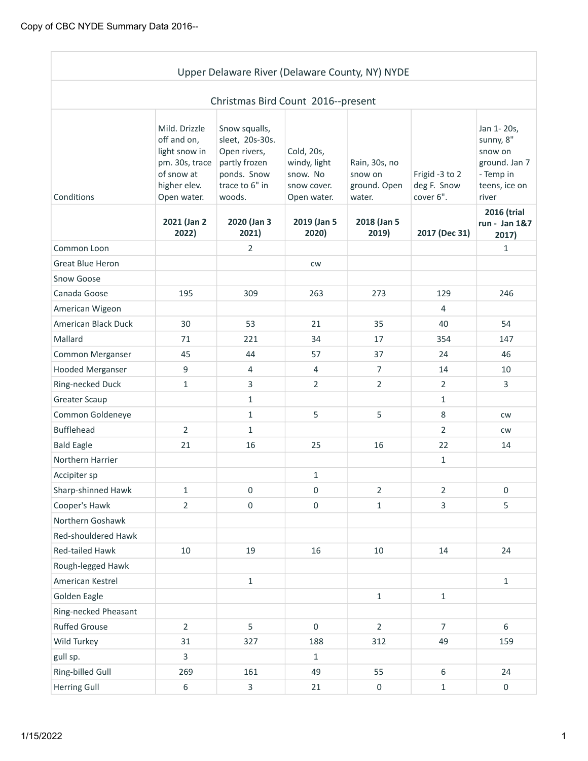|                            |                                                                                                              | Upper Delaware River (Delaware County, NY) NYDE                                                              |                                                                      |                                                    |                                            |                                                                                            |
|----------------------------|--------------------------------------------------------------------------------------------------------------|--------------------------------------------------------------------------------------------------------------|----------------------------------------------------------------------|----------------------------------------------------|--------------------------------------------|--------------------------------------------------------------------------------------------|
|                            |                                                                                                              | Christmas Bird Count 2016--present                                                                           |                                                                      |                                                    |                                            |                                                                                            |
| Conditions                 | Mild. Drizzle<br>off and on,<br>light snow in<br>pm. 30s, trace<br>of snow at<br>higher elev.<br>Open water. | Snow squalls,<br>sleet, 20s-30s.<br>Open rivers,<br>partly frozen<br>ponds. Snow<br>trace to 6" in<br>woods. | Cold, 20s,<br>windy, light<br>snow. No<br>snow cover.<br>Open water. | Rain, 30s, no<br>snow on<br>ground. Open<br>water. | Frigid -3 to 2<br>deg F. Snow<br>cover 6". | Jan 1-20s,<br>sunny, 8"<br>snow on<br>ground. Jan 7<br>- Temp in<br>teens, ice on<br>river |
|                            | 2021 (Jan 2)<br>2022)                                                                                        | 2020 (Jan 3<br>2021)                                                                                         | 2019 (Jan 5<br>2020)                                                 | 2018 (Jan 5<br>2019)                               | 2017 (Dec 31)                              | 2016 (trial<br>run - Jan 1&7<br>2017)                                                      |
| Common Loon                |                                                                                                              | 2                                                                                                            |                                                                      |                                                    |                                            | $\mathbf{1}$                                                                               |
| <b>Great Blue Heron</b>    |                                                                                                              |                                                                                                              | <b>CW</b>                                                            |                                                    |                                            |                                                                                            |
| Snow Goose                 |                                                                                                              |                                                                                                              |                                                                      |                                                    |                                            |                                                                                            |
| Canada Goose               | 195                                                                                                          | 309                                                                                                          | 263                                                                  | 273                                                | 129                                        | 246                                                                                        |
| American Wigeon            |                                                                                                              |                                                                                                              |                                                                      |                                                    | 4                                          |                                                                                            |
| <b>American Black Duck</b> | 30                                                                                                           | 53                                                                                                           | 21                                                                   | 35                                                 | 40                                         | 54                                                                                         |
| Mallard                    | 71                                                                                                           | 221                                                                                                          | 34                                                                   | 17                                                 | 354                                        | 147                                                                                        |
| Common Merganser           | 45                                                                                                           | 44                                                                                                           | 57                                                                   | 37                                                 | 24                                         | 46                                                                                         |
| <b>Hooded Merganser</b>    | 9                                                                                                            | 4                                                                                                            | $\overline{4}$                                                       | $\overline{7}$                                     | 14                                         | 10                                                                                         |
| Ring-necked Duck           | 1                                                                                                            | 3                                                                                                            | $\overline{2}$                                                       | $\overline{2}$                                     | $\overline{2}$                             | 3                                                                                          |
| <b>Greater Scaup</b>       |                                                                                                              | $\mathbf{1}$                                                                                                 |                                                                      |                                                    | $\mathbf{1}$                               |                                                                                            |
| Common Goldeneye           |                                                                                                              | $\mathbf{1}$                                                                                                 | 5                                                                    | 5                                                  | 8                                          | <b>CW</b>                                                                                  |
| <b>Bufflehead</b>          | $\overline{2}$                                                                                               | $\mathbf{1}$                                                                                                 |                                                                      |                                                    | $\overline{2}$                             | <b>CW</b>                                                                                  |
| <b>Bald Eagle</b>          | 21                                                                                                           | 16                                                                                                           | 25                                                                   | 16                                                 | 22                                         | 14                                                                                         |
| Northern Harrier           |                                                                                                              |                                                                                                              |                                                                      |                                                    | $\mathbf{1}$                               |                                                                                            |
| Accipiter sp               |                                                                                                              |                                                                                                              | $\mathbf{1}$                                                         |                                                    |                                            |                                                                                            |
| Sharp-shinned Hawk         | $\mathbf 1$                                                                                                  | 0                                                                                                            | $\boldsymbol{0}$                                                     | $\overline{2}$                                     | $\overline{2}$                             | $\boldsymbol{0}$                                                                           |
| Cooper's Hawk              | $\overline{2}$                                                                                               | $\boldsymbol{0}$                                                                                             | $\boldsymbol{0}$                                                     | $\mathbf 1$                                        | 3                                          | 5                                                                                          |
| Northern Goshawk           |                                                                                                              |                                                                                                              |                                                                      |                                                    |                                            |                                                                                            |
| Red-shouldered Hawk        |                                                                                                              |                                                                                                              |                                                                      |                                                    |                                            |                                                                                            |
| Red-tailed Hawk            | 10                                                                                                           | 19                                                                                                           | 16                                                                   | 10                                                 | 14                                         | 24                                                                                         |
| Rough-legged Hawk          |                                                                                                              |                                                                                                              |                                                                      |                                                    |                                            |                                                                                            |
| American Kestrel           |                                                                                                              | $\mathbf{1}$                                                                                                 |                                                                      |                                                    |                                            | $\mathbf{1}$                                                                               |
| Golden Eagle               |                                                                                                              |                                                                                                              |                                                                      | $\mathbf 1$                                        | $\mathbf 1$                                |                                                                                            |
| Ring-necked Pheasant       |                                                                                                              |                                                                                                              |                                                                      |                                                    |                                            |                                                                                            |
| <b>Ruffed Grouse</b>       | $\overline{2}$                                                                                               | 5                                                                                                            | $\mathbf 0$                                                          | $\overline{2}$                                     | $\overline{7}$                             | 6                                                                                          |
| Wild Turkey                | 31                                                                                                           | 327                                                                                                          | 188                                                                  | 312                                                | 49                                         | 159                                                                                        |
| gull sp.                   | 3                                                                                                            |                                                                                                              | $\mathbf{1}$                                                         |                                                    |                                            |                                                                                            |
| Ring-billed Gull           | 269                                                                                                          | 161                                                                                                          | 49                                                                   | 55                                                 | $6\,$                                      | 24                                                                                         |
| <b>Herring Gull</b>        | 6                                                                                                            | $\mathbf{3}$                                                                                                 | 21                                                                   | $\boldsymbol{0}$                                   | $\mathbf 1$                                | $\boldsymbol{0}$                                                                           |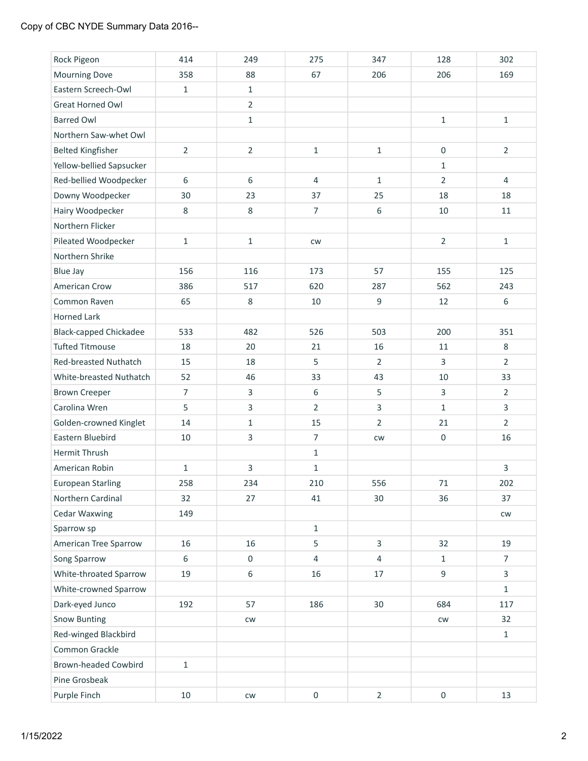## Copy of CBC NYDE Summary Data 2016--

| Rock Pigeon                   | 414            | 249              | 275              | 347            | 128              | 302            |
|-------------------------------|----------------|------------------|------------------|----------------|------------------|----------------|
| Mourning Dove                 | 358            | 88               | 67               | 206            | 206              | 169            |
| Eastern Screech-Owl           | $\mathbf{1}$   | $\mathbf{1}$     |                  |                |                  |                |
| <b>Great Horned Owl</b>       |                | $\overline{2}$   |                  |                |                  |                |
| <b>Barred Owl</b>             |                | $\mathbf 1$      |                  |                | $\mathbf 1$      | $\mathbf 1$    |
| Northern Saw-whet Owl         |                |                  |                  |                |                  |                |
| <b>Belted Kingfisher</b>      | $\overline{2}$ | $\overline{2}$   | $1\,$            | $\mathbf{1}$   | $\boldsymbol{0}$ | $\overline{2}$ |
| Yellow-bellied Sapsucker      |                |                  |                  |                | $\mathbf{1}$     |                |
| Red-bellied Woodpecker        | 6              | 6                | $\overline{4}$   | $\mathbf{1}$   | $\overline{2}$   | $\overline{4}$ |
| Downy Woodpecker              | 30             | 23               | 37               | 25             | 18               | 18             |
| Hairy Woodpecker              | 8              | $\,8\,$          | $\overline{7}$   | 6              | 10               | 11             |
| Northern Flicker              |                |                  |                  |                |                  |                |
| Pileated Woodpecker           | $\mathbf{1}$   | $\mathbf{1}$     | <b>CW</b>        |                | $\overline{2}$   | $\mathbf{1}$   |
| Northern Shrike               |                |                  |                  |                |                  |                |
| <b>Blue Jay</b>               | 156            | 116              | 173              | 57             | 155              | 125            |
| American Crow                 | 386            | 517              | 620              | 287            | 562              | 243            |
| Common Raven                  | 65             | $\,8\,$          | $10\,$           | 9              | 12               | 6              |
| <b>Horned Lark</b>            |                |                  |                  |                |                  |                |
| <b>Black-capped Chickadee</b> | 533            | 482              | 526              | 503            | 200              | 351            |
| <b>Tufted Titmouse</b>        | 18             | 20               | 21               | 16             | 11               | 8              |
| Red-breasted Nuthatch         | 15             | 18               | 5                | $\overline{2}$ | 3                | $\overline{2}$ |
| White-breasted Nuthatch       | 52             | 46               | 33               | 43             | 10               | 33             |
| <b>Brown Creeper</b>          | $\overline{7}$ | 3                | 6                | 5              | 3                | $\overline{2}$ |
| Carolina Wren                 | 5              | $\overline{3}$   | $\overline{2}$   | $\overline{3}$ | $\mathbf{1}$     | 3              |
| Golden-crowned Kinglet        | 14             | $1\,$            | 15               | $\overline{2}$ | 21               | $\overline{2}$ |
| Eastern Bluebird              | 10             | $\overline{3}$   | $\overline{7}$   | CW             | $\boldsymbol{0}$ | 16             |
| Hermit Thrush                 |                |                  | $1\,$            |                |                  |                |
| American Robin                | $\mathbf 1$    | 3                | $\mathbf 1$      |                |                  | 3              |
| <b>European Starling</b>      | 258            | 234              | 210              | 556            | 71               | 202            |
| Northern Cardinal             | 32             | 27               | 41               | 30             | 36               | 37             |
| Cedar Waxwing                 | 149            |                  |                  |                |                  | cw             |
| Sparrow sp                    |                |                  | $\mathbf{1}$     |                |                  |                |
| American Tree Sparrow         | 16             | 16               | 5                | 3              | 32               | 19             |
| Song Sparrow                  | 6              | $\boldsymbol{0}$ | 4                | 4              | $\mathbf{1}$     | $\overline{7}$ |
| White-throated Sparrow        | 19             | $\boldsymbol{6}$ | 16               | 17             | 9                | $\overline{3}$ |
| White-crowned Sparrow         |                |                  |                  |                |                  | $\mathbf{1}$   |
| Dark-eyed Junco               | 192            | 57               | 186              | 30             | 684              | 117            |
| <b>Snow Bunting</b>           |                | CW               |                  |                | ${\sf\small CW}$ | 32             |
| Red-winged Blackbird          |                |                  |                  |                |                  | $\mathbf{1}$   |
| Common Grackle                |                |                  |                  |                |                  |                |
| Brown-headed Cowbird          | $\mathbf 1$    |                  |                  |                |                  |                |
| Pine Grosbeak                 |                |                  |                  |                |                  |                |
| Purple Finch                  | 10             | ${\sf\small CW}$ | $\boldsymbol{0}$ | $\overline{2}$ | $\boldsymbol{0}$ | 13             |